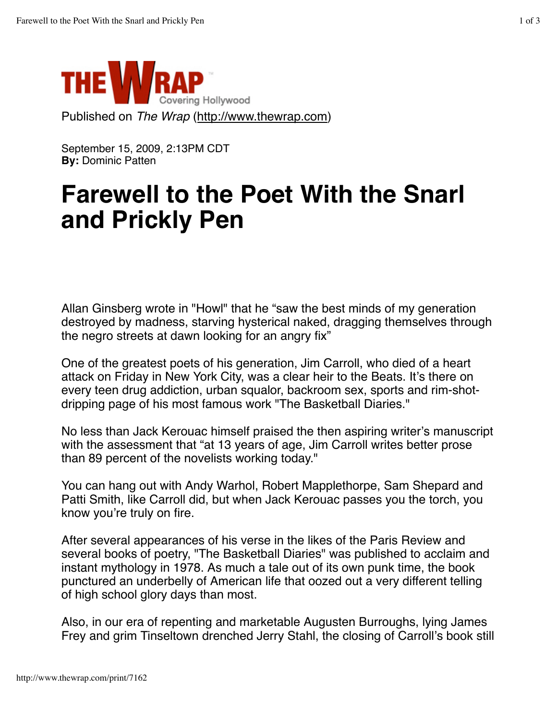

September 15, 2009, 2:13PM CDT **By:** Dominic Patten

## **Farewell to the Poet With the Snarl and Prickly Pen**

Allan Ginsberg wrote in "Howl" that he "saw the best minds of my generation destroyed by madness, starving hysterical naked, dragging themselves through the negro streets at dawn looking for an angry fix"

One of the greatest poets of his generation, Jim Carroll, who died of a heart attack on Friday in New York City, was a clear heir to the Beats. It's there on every teen drug addiction, urban squalor, backroom sex, sports and rim-shotdripping page of his most famous work "The Basketball Diaries."

No less than Jack Kerouac himself praised the then aspiring writer's manuscript with the assessment that "at 13 years of age, Jim Carroll writes better prose than 89 percent of the novelists working today."

You can hang out with Andy Warhol, Robert Mapplethorpe, Sam Shepard and Patti Smith, like Carroll did, but when Jack Kerouac passes you the torch, you know you're truly on fire.

After several appearances of his verse in the likes of the Paris Review and several books of poetry, "The Basketball Diaries" was published to acclaim and instant mythology in 1978. As much a tale out of its own punk time, the book punctured an underbelly of American life that oozed out a very different telling of high school glory days than most.

Also, in our era of repenting and marketable Augusten Burroughs, lying James Frey and grim Tinseltown drenched Jerry Stahl, the closing of Carroll's book still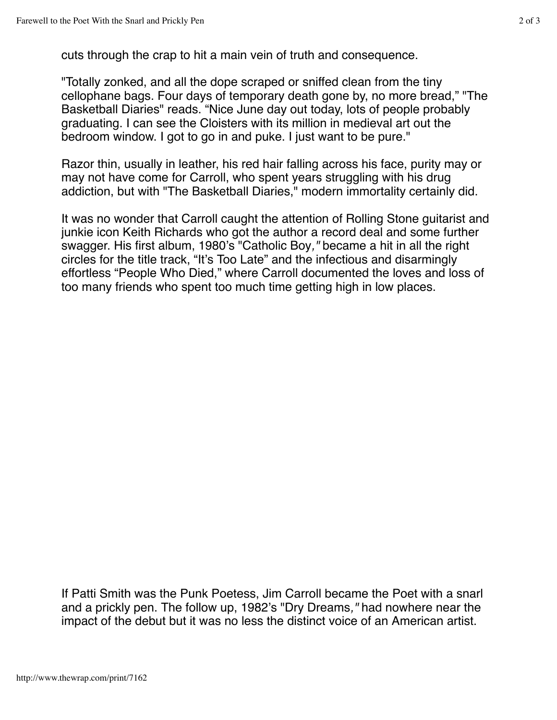cuts through the crap to hit a main vein of truth and consequence.

"Totally zonked, and all the dope scraped or sniffed clean from the tiny cellophane bags. Four days of temporary death gone by, no more bread," "The Basketball Diaries" reads. "Nice June day out today, lots of people probably graduating. I can see the Cloisters with its million in medieval art out the bedroom window. I got to go in and puke. I just want to be pure."

Razor thin, usually in leather, his red hair falling across his face, purity may or may not have come for Carroll, who spent years struggling with his drug addiction, but with "The Basketball Diaries," modern immortality certainly did.

It was no wonder that Carroll caught the attention of Rolling Stone guitarist and junkie icon Keith Richards who got the author a record deal and some further swagger. His first album, 1980's "Catholic Boy*,"* became a hit in all the right circles for the title track, "It's Too Late" and the infectious and disarmingly effortless "People Who Died," where Carroll documented the loves and loss of too many friends who spent too much time getting high in low places.

If Patti Smith was the Punk Poetess, Jim Carroll became the Poet with a snarl and a prickly pen. The follow up, 1982's "Dry Dreams*,"* had nowhere near the impact of the debut but it was no less the distinct voice of an American artist.